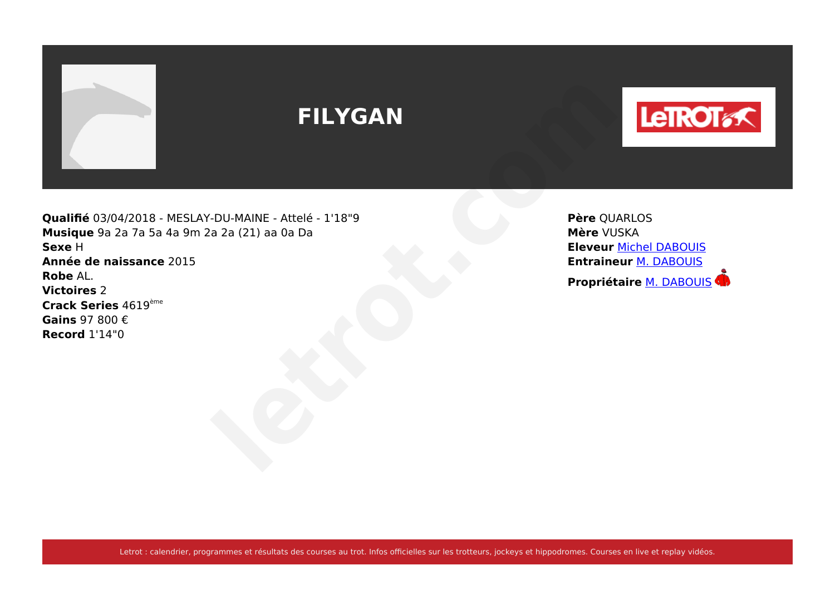

# **FILYGAN**



**Qualifié** 03/04/2018 - MESLAY-DU-MAINE - Attelé - 1'18"9 **Musique** 9a 2a 7a 5a 4a 9m 2a 2a (21) aa 0a Da **Sexe** H **Année de naissance** 2015 **Robe** AL. **Victoires** 2 **Crack Series** 4619ème **Gains** 97 800 € **Record** 1'14"0 **PROPRIME AREA ALTERNATION COLUMAINE - Attelé - 1'18"9**<br>
Père QUARLOS<br>
Réveur Michael DABOUIS<br>
Eleveur Michael DABOUIS<br>
Propriétaire [M. DABOUIS](https://www.letrot.com/stats/fiche-homme/m-dabouis/Zmd9ZAEAdg/proprietaire/dernieres-courses)<br>
Propriétaire M. DABOUIS

**Père** QUARLOS **Mère** VUSKA **Eleveur** [Michel DABOUIS](https://www.letrot.com/stats/fiche-homme/michel-dabouis/Zmd9ZAEAdg/eleveur/dernieres-courses) **Entraineur** [M. DABOUIS](https://www.letrot.com/stats/fiche-homme/m-dabouis/Zmd9ZAEAdg/entraineur/dernieres-courses)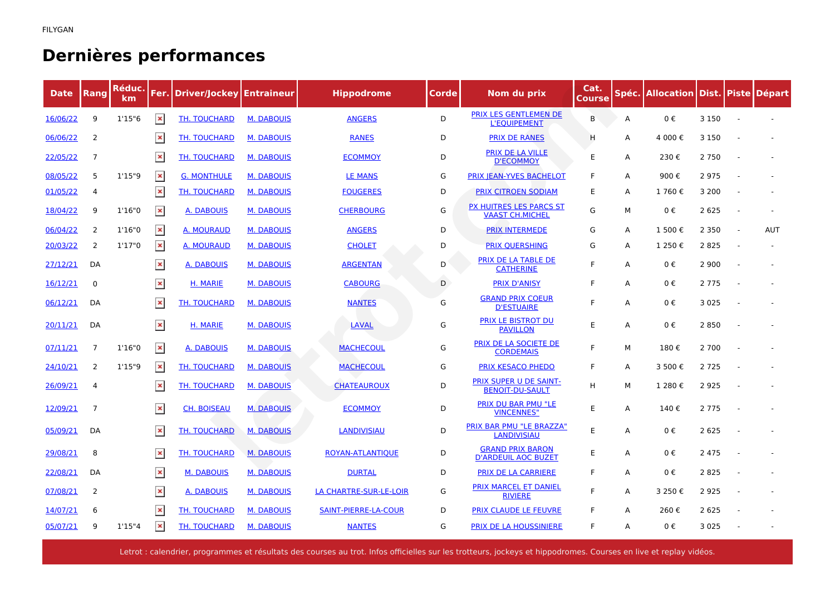## **Dernières performances**

| <b>Date</b> | Rang           | Réduc.<br>km | Fer.           | <b>Driver/Jockey Entraineur</b> |                   | <b>Hippodrome</b>      | Corde | Nom du prix                                              | Cat.<br>Course |   | Spéc. Allocation Dist. Piste Départ |         |        |            |
|-------------|----------------|--------------|----------------|---------------------------------|-------------------|------------------------|-------|----------------------------------------------------------|----------------|---|-------------------------------------|---------|--------|------------|
| 16/06/22    | 9              | 1'15"6       | $\pmb{\times}$ | TH. TOUCHARD                    | <b>M. DABOUIS</b> | <b>ANGERS</b>          | D     | PRIX LES GENTLEMEN DE<br><b>L'EQUIPEMENT</b>             | B              | Α | 0€                                  | 3 1 5 0 |        |            |
| 06/06/22    | 2              |              | $\pmb{\times}$ | TH. TOUCHARD                    | <b>M. DABOUIS</b> | <b>RANES</b>           | D     | <b>PRIX DE RANES</b>                                     | Н              | Α | 4 000€                              | 3 1 5 0 |        |            |
| 22/05/22    | $\overline{7}$ |              | $\pmb{\times}$ | TH. TOUCHARD                    | <b>M. DABOUIS</b> | <b>ECOMMOY</b>         | D     | PRIX DE LA VILLE<br><b>D'ECOMMOY</b>                     | E              | Α | 230€                                | 2 7 5 0 |        |            |
| 08/05/22    | 5              | 1'15''9      | $\pmb{\times}$ | <b>G. MONTHULE</b>              | <b>M. DABOUIS</b> | <b>LE MANS</b>         | G     | PRIX JEAN-YVES BACHELOT                                  | F              | A | 900€                                | 2975    |        |            |
| 01/05/22    | 4              |              | $\pmb{\times}$ | TH. TOUCHARD                    | <b>M. DABOUIS</b> | <b>FOUGERES</b>        | D     | <b>PRIX CITROEN SODIAM</b>                               | E              | Α | 1760€                               | 3 2 0 0 |        |            |
| 18/04/22    | 9              | 1'16"0       | $\pmb{\times}$ | A. DABOUIS                      | <b>M. DABOUIS</b> | <b>CHERBOURG</b>       | G     | <b>PX HUITRES LES PARCS ST</b><br><b>VAAST CH.MICHEL</b> | G              | М | 0€                                  | 2 6 2 5 |        |            |
| 06/04/22    | 2              | 1'16''0      | $\pmb{\times}$ | A. MOURAUD                      | <b>M. DABOUIS</b> | <b>ANGERS</b>          | D     | <b>PRIX INTERMEDE</b>                                    | G              | Α | 1 500€                              | 2 3 5 0 | $\sim$ | <b>AUT</b> |
| 20/03/22    | 2              | 1'17"0       | $\pmb{\times}$ | <b>A. MOURAUD</b>               | <b>M. DABOUIS</b> | <b>CHOLET</b>          | D     | <b>PRIX QUERSHING</b>                                    | G              | Α | 1 250€                              | 2 8 2 5 |        |            |
| 27/12/21    | DA             |              | $\pmb{\times}$ | <b>A. DABOUIS</b>               | <b>M. DABOUIS</b> | <b>ARGENTAN</b>        | D     | PRIX DE LA TABLE DE<br><b>CATHERINE</b>                  | E              | Α | 0€                                  | 2 9 0 0 |        |            |
| 16/12/21    | $\mathbf 0$    |              | $\pmb{\times}$ | H. MARIE                        | <b>M. DABOUIS</b> | <b>CABOURG</b>         | D     | <b>PRIX D'ANISY</b>                                      | F              | A | 0€                                  | 2 7 7 5 |        |            |
| 06/12/21    | DA             |              | $\pmb{\times}$ | <b>TH. TOUCHARD</b>             | <b>M. DABOUIS</b> | <b>NANTES</b>          | G     | <b>GRAND PRIX COEUR</b><br><b>D'ESTUAIRE</b>             | F              | Α | 0€                                  | 3 0 2 5 |        |            |
| 20/11/21    | DA             |              | $\pmb{\times}$ | H. MARIE                        | <b>M. DABOUIS</b> | LAVAL                  | G     | PRIX LE BISTROT DU<br><b>PAVILLON</b>                    | E              | Α | 0€                                  | 2 8 5 0 |        |            |
| 07/11/21    | 7              | 1'16''0      | $\pmb{\times}$ | A. DABOUIS                      | <b>M. DABOUIS</b> | <b>MACHECOUL</b>       | G     | PRIX DE LA SOCIETE DE<br><b>CORDEMAIS</b>                | F              | М | 180€                                | 2 700   |        |            |
| 24/10/21    | 2              | 1'15''9      | $\pmb{\times}$ | <b>TH. TOUCHARD</b>             | <b>M. DABOUIS</b> | <b>MACHECOUL</b>       | G     | <b>PRIX KESACO PHEDO</b>                                 | F              | Α | 3 500€                              | 2 7 2 5 |        |            |
| 26/09/21    | $\overline{4}$ |              | $\pmb{\times}$ | TH. TOUCHARD                    | <b>M. DABOUIS</b> | <b>CHATEAUROUX</b>     | D     | <b>PRIX SUPER U DE SAINT-</b><br><b>BENOIT-DU-SAULT</b>  | H              | М | 1 280€                              | 2 9 2 5 |        |            |
| 12/09/21    | $\overline{7}$ |              | $\pmb{\times}$ | <b>CH. BOISEAU</b>              | <b>M. DABOUIS</b> | <b>ECOMMOY</b>         | D     | <b>PRIX DU BAR PMU "LE</b><br><b>VINCENNES"</b>          | E              | A | 140€                                | 2 7 7 5 |        |            |
| 05/09/21    | DA             |              | $\pmb{\times}$ | <b>TH. TOUCHARD</b>             | <b>M. DABOUIS</b> | <b>LANDIVISIAU</b>     | D     | PRIX BAR PMU "LE BRAZZA"<br><b>LANDIVISIAU</b>           | E              | Α | 0€                                  | 2 6 2 5 |        |            |
| 29/08/21    | 8              |              | $\pmb{\times}$ | <b>TH. TOUCHARD</b>             | <b>M. DABOUIS</b> | ROYAN-ATLANTIQUE       | D     | <b>GRAND PRIX BARON</b><br><b>D'ARDEUIL AOC BUZET</b>    | E              | A | 0€                                  | 2 4 7 5 |        |            |
| 22/08/21    | DA             |              | $\pmb{\times}$ | <b>M. DABOUIS</b>               | <b>M. DABOUIS</b> | <b>DURTAL</b>          | D     | <b>PRIX DE LA CARRIERE</b>                               | F              | Α | 0€                                  | 2 8 2 5 |        |            |
| 07/08/21    | $\overline{2}$ |              | $\pmb{\times}$ | A. DABOUIS                      | <b>M. DABOUIS</b> | LA CHARTRE-SUR-LE-LOIR | G     | <b>PRIX MARCEL ET DANIEL</b><br><b>RIVIERE</b>           | F              | Α | 3 250€                              | 2 9 2 5 |        |            |
| 14/07/21    | 6              |              | $\pmb{\times}$ | <b>TH. TOUCHARD</b>             | <b>M. DABOUIS</b> | SAINT-PIERRE-LA-COUR   | D     | PRIX CLAUDE LE FEUVRE                                    | F              | A | 260€                                | 2 6 2 5 |        |            |
| 05/07/21    | 9              | 1'15''4      | $\pmb{\times}$ | TH. TOUCHARD                    | <b>M. DABOUIS</b> | <b>NANTES</b>          | G     | <b>PRIX DE LA HOUSSINIERE</b>                            | F              | A | 0€                                  | 3 0 2 5 |        |            |

Letrot : calendrier, programmes et résultats des courses au trot. Infos officielles sur les trotteurs, jockeys et hippodromes. Courses en live et replay vidéos.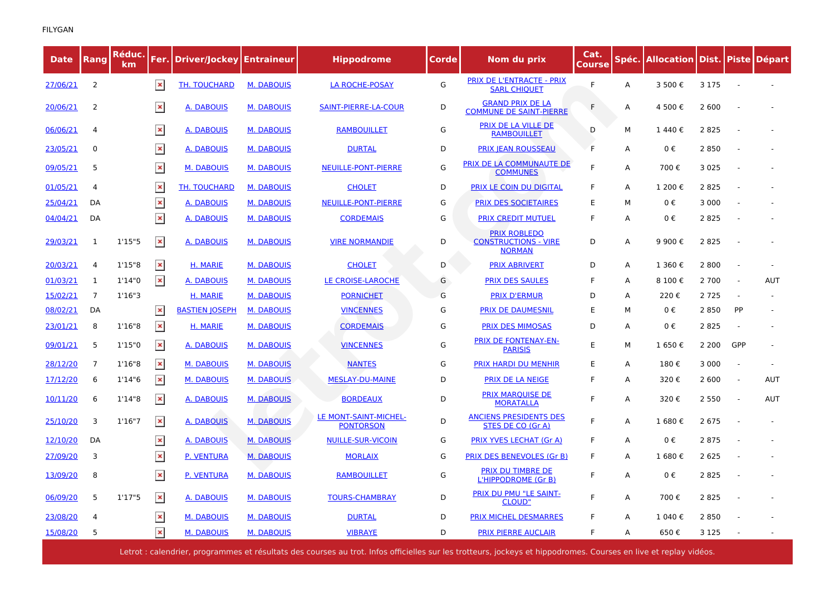| <b>Date</b> | Rang           | <u>Réduc.</u><br>km. |                | <b>Fer.   Driver/Jockey   Entraineur</b> |                   | <b>Hippodrome</b>                         | Corde | Nom du prix                                                         | Cat.<br>Course | Spéc. | Allocation   Dist.   Piste   Départ |         |                |            |
|-------------|----------------|----------------------|----------------|------------------------------------------|-------------------|-------------------------------------------|-------|---------------------------------------------------------------------|----------------|-------|-------------------------------------|---------|----------------|------------|
| 27/06/21    | 2              |                      | $\pmb{\times}$ | TH. TOUCHARD                             | <b>M. DABOUIS</b> | <b>LA ROCHE-POSAY</b>                     | G     | PRIX DE L'ENTRACTE - PRIX<br><b>SARL CHIQUET</b>                    | F              | Α     | 3 500 €                             | 3 1 7 5 |                |            |
| 20/06/21    | 2              |                      | $\pmb{\times}$ | A. DABOUIS                               | <b>M. DABOUIS</b> | SAINT-PIERRE-LA-COUR                      | D     | <b>GRAND PRIX DE LA</b><br><b>COMMUNE DE SAINT-PIERRE</b>           | F              | A     | 4 500€                              | 2 600   |                |            |
| 06/06/21    | 4              |                      | $\pmb{\times}$ | <b>A. DABOUIS</b>                        | <b>M. DABOUIS</b> | <b>RAMBOUILLET</b>                        | G     | <u>PRIX DE LA VILLE DE</u><br><b>RAMBOUILLET</b>                    | D              | м     | 1440€                               | 2 8 2 5 |                |            |
| 23/05/21    | 0              |                      | $\pmb{\times}$ | <b>A. DABOUIS</b>                        | <b>M. DABOUIS</b> | <b>DURTAL</b>                             | D     | <b>PRIX JEAN ROUSSEAU</b>                                           | F              | Α     | 0€                                  | 2 8 5 0 |                |            |
| 09/05/21    | 5              |                      | $\pmb{\times}$ | <b>M. DABOUIS</b>                        | <b>M. DABOUIS</b> | NEUILLE-PONT-PIERRE                       | G     | PRIX DE LA COMMUNAUTE DE<br><b>COMMUNES</b>                         | F              | A     | 700€                                | 3 0 2 5 |                |            |
| 01/05/21    | 4              |                      | $\pmb{\times}$ | <b>TH. TOUCHARD</b>                      | <b>M. DABOUIS</b> | <b>CHOLET</b>                             | D     | <b>PRIX LE COIN DU DIGITAL</b>                                      | F              | Α     | 1 200€                              | 2 8 2 5 |                |            |
| 25/04/21    | DA             |                      | $\pmb{\times}$ | A. DABOUIS                               | <b>M. DABOUIS</b> | NEUILLE-PONT-PIERRE                       | G     | <b>PRIX DES SOCIETAIRES</b>                                         | E              | м     | 0€                                  | 3 0 0 0 |                |            |
| 04/04/21    | DA             |                      | $\pmb{\times}$ | <b>A. DABOUIS</b>                        | <b>M. DABOUIS</b> | <b>CORDEMAIS</b>                          | G     | <b>PRIX CREDIT MUTUEL</b>                                           | F              | A     | $0 \in$                             | 2825    |                |            |
| 29/03/21    | 1              | 1'15"5               | $\pmb{\times}$ | <b>A. DABOUIS</b>                        | <b>M. DABOUIS</b> | <b>VIRE NORMANDIE</b>                     | D     | <b>PRIX ROBLEDO</b><br><b>CONSTRUCTIONS - VIRE</b><br><b>NORMAN</b> | D              | Α     | 9 900€                              | 2 8 2 5 |                |            |
| 20/03/21    | 4              | 1'15"8               | $\pmb{\times}$ | H. MARIE                                 | <b>M. DABOUIS</b> | <b>CHOLET</b>                             | D     | <b>PRIX ABRIVERT</b>                                                | D              | A     | 1 360€                              | 2 800   |                |            |
| 01/03/21    | 1              | 1'14"0               | $\pmb{\times}$ | A. DABOUIS                               | <b>M. DABOUIS</b> | LE CROISE-LAROCHE                         | G     | <b>PRIX DES SAULES</b>                                              | F              | Α     | 8 100€                              | 2 700   | $\sim$         | <b>AUT</b> |
| 15/02/21    | $\overline{7}$ | 1'16''3              |                | H. MARIE                                 | <b>M. DABOUIS</b> | <b>PORNICHET</b>                          | G     | <b>PRIX D'ERMUR</b>                                                 | D              | A     | 220€                                | 2 7 2 5 |                |            |
| 08/02/21    | DA             |                      | $\pmb{\times}$ | <b>BASTIEN JOSEPH</b>                    | <b>M. DABOUIS</b> | <b>VINCENNES</b>                          | G     | <b>PRIX DE DAUMESNIL</b>                                            | E              | М     | 0€                                  | 2 8 5 0 | PP             |            |
| 23/01/21    | 8              | 1'16''8              | $\pmb{\times}$ | H. MARIE                                 | <b>M. DABOUIS</b> | <b>CORDEMAIS</b>                          | G     | <b>PRIX DES MIMOSAS</b>                                             | D              | A     | 0€                                  | 2 8 2 5 |                |            |
| 09/01/21    | 5              | 1'15"0               | $\pmb{\times}$ | A. DABOUIS                               | <b>M. DABOUIS</b> | <b>VINCENNES</b>                          | G     | PRIX DE FONTENAY-EN-<br><b>PARISIS</b>                              | E              | м     | 1 650€                              | 2 2 0 0 | GPP            |            |
| 28/12/20    | 7              | 1'16''8              | $\pmb{\times}$ | <b>M. DABOUIS</b>                        | <b>M. DABOUIS</b> | <b>NANTES</b>                             | G     | <b>PRIX HARDI DU MENHIR</b>                                         | E              | A     | 180€                                | 3 0 0 0 | $\sim$         |            |
| 17/12/20    | 6              | 1'14''6              | $\pmb{\times}$ | <b>M. DABOUIS</b>                        | <b>M. DABOUIS</b> | <b>MESLAY-DU-MAINE</b>                    | D     | <b>PRIX DE LA NEIGE</b>                                             | F              | A     | 320€                                | 2 600   | $\blacksquare$ | <b>AUT</b> |
| 10/11/20    | 6              | 1'14"8               | $\pmb{\times}$ | A. DABOUIS                               | <b>M. DABOUIS</b> | <b>BORDEAUX</b>                           | D     | <b>PRIX MARQUISE DE</b><br><b>MORATALLA</b>                         | F              | A     | 320€                                | 2 5 5 0 |                | <b>AUT</b> |
| 25/10/20    | 3              | 1'16''7              | $\pmb{\times}$ | A. DABOUIS                               | <b>M. DABOUIS</b> | LE MONT-SAINT-MICHEL-<br><b>PONTORSON</b> | D     | <b>ANCIENS PRESIDENTS DES</b><br>STES DE CO (Gr A)                  | F              | Α     | 1 680€                              | 2 6 7 5 |                |            |
| 12/10/20    | DA             |                      | $\pmb{\times}$ | <b>A. DABOUIS</b>                        | <b>M. DABOUIS</b> | <b>NUILLE-SUR-VICOIN</b>                  | G     | <b>PRIX YVES LECHAT (Gr A)</b>                                      | F              | Α     | 0€                                  | 2875    |                |            |
| 27/09/20    | 3              |                      | $\pmb{\times}$ | <b>P. VENTURA</b>                        | <b>M. DABOUIS</b> | <b>MORLAIX</b>                            | G     | PRIX DES BENEVOLES (Gr B)                                           | F              | A     | 1 680€                              | 2 6 2 5 |                |            |
| 13/09/20    | 8              |                      | $\pmb{\times}$ | P. VENTURA                               | <b>M. DABOUIS</b> | <b>RAMBOUILLET</b>                        | G     | PRIX DU TIMBRE DE<br>L'HIPPODROME (Gr B)                            | F              | Α     | 0€                                  | 2 8 2 5 |                |            |
| 06/09/20    | 5              | 1'17"5               | $\pmb{\times}$ | A. DABOUIS                               | <b>M. DABOUIS</b> | <b>TOURS-CHAMBRAY</b>                     | D     | <b>PRIX DU PMU "LE SAINT-</b><br><b>CLOUD"</b>                      | F.             | Α     | 700€                                | 2 8 2 5 |                |            |
| 23/08/20    | 4              |                      | $\pmb{\times}$ | <b>M. DABOUIS</b>                        | <b>M. DABOUIS</b> | <b>DURTAL</b>                             | D     | <b>PRIX MICHEL DESMARRES</b>                                        | F              | A     | 1 040€                              | 2 8 5 0 |                |            |
| 15/08/20    | 5              |                      | $\pmb{\times}$ | <b>M. DABOUIS</b>                        | <b>M. DABOUIS</b> | <b>VIBRAYE</b>                            | D     | <b>PRIX PIERRE AUCLAIR</b>                                          | F              | A     | 650€                                | 3 1 2 5 |                |            |

Letrot : calendrier, programmes et résultats des courses au trot. Infos officielles sur les trotteurs, jockeys et hippodromes. Courses en live et replay vidéos.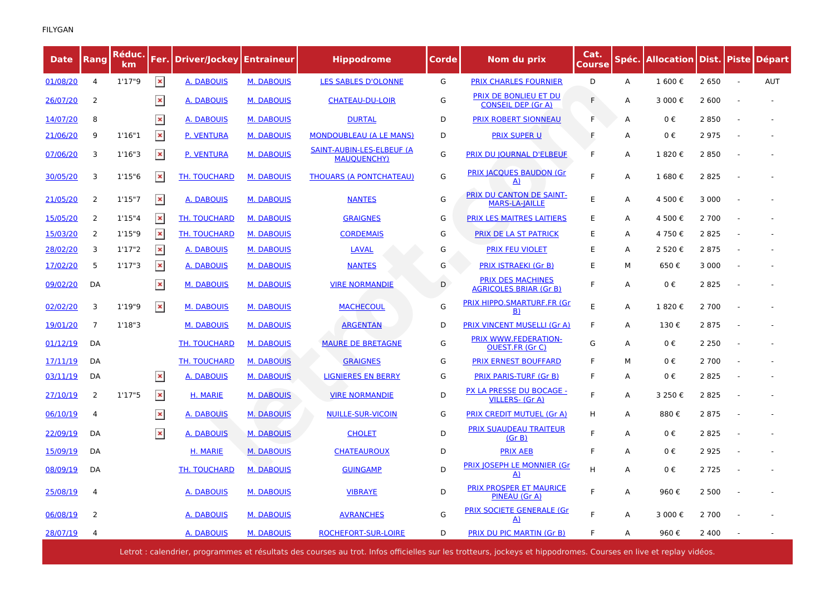| <b>Date</b> | <b>Rang</b>    | Réduc.<br>km | Fer.           | Driver/Jockey   Entraineur |                   | <b>Hippodrome</b>                               | Corde | Nom du prix                                               | Cat.<br><b>Course</b> | Spéc. | Allocation   Dist.   Piste   Départ |         |        |            |
|-------------|----------------|--------------|----------------|----------------------------|-------------------|-------------------------------------------------|-------|-----------------------------------------------------------|-----------------------|-------|-------------------------------------|---------|--------|------------|
| 01/08/20    | 4              | 1'17''9      | $\pmb{\times}$ | <b>A. DABOUIS</b>          | <b>M. DABOUIS</b> | <b>LES SABLES D'OLONNE</b>                      | G     | <b>PRIX CHARLES FOURNIER</b>                              | D                     | A     | 1 600€                              | 2 6 5 0 | $\sim$ | <b>AUT</b> |
| 26/07/20    | 2              |              | $\pmb{\times}$ | A. DABOUIS                 | <b>M. DABOUIS</b> | <b>CHATEAU-DU-LOIR</b>                          | G     | PRIX DE BONLIEU ET DU<br><b>CONSEIL DEP (Gr A)</b>        | F                     | A     | 3 000€                              | 2 600   |        |            |
| 14/07/20    | 8              |              | $\pmb{\times}$ | A. DABOUIS                 | <b>M. DABOUIS</b> | <b>DURTAL</b>                                   | D     | <b>PRIX ROBERT SIONNEAU</b>                               | F                     | Α     | 0€                                  | 2 8 5 0 |        |            |
| 21/06/20    | 9              | 1'16''1      | $\pmb{\times}$ | <b>P. VENTURA</b>          | <b>M. DABOUIS</b> | <b>MONDOUBLEAU (A LE MANS)</b>                  | D     | <b>PRIX SUPER U</b>                                       | F                     | Α     | $0 \in$                             | 2975    |        |            |
| 07/06/20    | 3              | 1'16"3       | $\pmb{\times}$ | <b>P. VENTURA</b>          | <b>M. DABOUIS</b> | SAINT-AUBIN-LES-ELBEUF (A<br><b>MAUQUENCHY)</b> | G     | <b>PRIX DU JOURNAL D'ELBEUF</b>                           | F                     | A     | 1820€                               | 2850    |        |            |
| 30/05/20    | 3              | 1'15''6      | $\pmb{\times}$ | TH. TOUCHARD               | <b>M. DABOUIS</b> | <b>THOUARS (A PONTCHATEAU)</b>                  | G     | <b>PRIX JACQUES BAUDON (Gr</b><br>$\Delta$                | F                     | A     | 1 680€                              | 2 8 2 5 |        |            |
| 21/05/20    | 2              | 1'15''7      | $\pmb{\times}$ | A. DABOUIS                 | <b>M. DABOUIS</b> | <b>NANTES</b>                                   | G     | PRIX DU CANTON DE SAINT-<br><b>MARS-LA-IAILLE</b>         | E                     | A     | 4 500 €                             | 3 0 0 0 |        |            |
| 15/05/20    | 2              | 1'15''4      | $\pmb{\times}$ | <b>TH. TOUCHARD</b>        | <b>M. DABOUIS</b> | <b>GRAIGNES</b>                                 | G     | <b>PRIX LES MAITRES LAITIERS</b>                          | E                     | A     | 4 500 €                             | 2 700   |        |            |
| 15/03/20    | 2              | 1'15''9      | $\pmb{\times}$ | TH. TOUCHARD               | <b>M. DABOUIS</b> | <b>CORDEMAIS</b>                                | G     | PRIX DE LA ST PATRICK                                     | E                     | A     | 4 750 €                             | 2 8 2 5 |        |            |
| 28/02/20    | 3              | 1'17''2      | $\pmb{\times}$ | A. DABOUIS                 | <b>M. DABOUIS</b> | <b>LAVAL</b>                                    | G     | <b>PRIX FEU VIOLET</b>                                    | Ε                     | A     | 2 520€                              | 2 8 7 5 |        |            |
| 17/02/20    | 5              | 1'17''3      | $\pmb{\times}$ | A. DABOUIS                 | <b>M. DABOUIS</b> | <b>NANTES</b>                                   | G     | <b>PRIX ISTRAEKI (Gr B)</b>                               | E                     | М     | 650€                                | 3 0 0 0 |        |            |
| 09/02/20    | DA             |              | $\pmb{\times}$ | <b>M. DABOUIS</b>          | <b>M. DABOUIS</b> | <b>VIRE NORMANDIE</b>                           | D     | <b>PRIX DES MACHINES</b><br><b>AGRICOLES BRIAR (Gr B)</b> | F                     | A     | $0 \in$                             | 2825    |        |            |
| 02/02/20    | 3              | 1'19"9       | $\pmb{\times}$ | <b>M. DABOUIS</b>          | <b>M. DABOUIS</b> | <b>MACHECOUL</b>                                | G     | PRIX HIPPO.SMARTURF.FR (Gr<br>B)                          | E                     | A     | 1820€                               | 2 700   |        |            |
| 19/01/20    | $\overline{7}$ | 1'18''3      |                | <b>M. DABOUIS</b>          | <b>M. DABOUIS</b> | <b>ARGENTAN</b>                                 | D     | PRIX VINCENT MUSELLI (Gr A)                               | F                     | A     | 130€                                | 2 8 7 5 |        |            |
| 01/12/19    | DA             |              |                | TH. TOUCHARD               | <b>M. DABOUIS</b> | <b>MAURE DE BRETAGNE</b>                        | G     | PRIX WWW.FEDERATION-<br><b>OUEST.FR (Gr C)</b>            | G                     | A     | $0 \in$                             | 2 2 5 0 |        |            |
| 17/11/19    | DA             |              |                | TH. TOUCHARD               | <b>M. DABOUIS</b> | <b>GRAIGNES</b>                                 | G     | <b>PRIX ERNEST BOUFFARD</b>                               | F                     | м     | $0 \in$                             | 2 700   |        |            |
| 03/11/19    | DA             |              | $\pmb{\times}$ | A. DABOUIS                 | <b>M. DABOUIS</b> | <b>LIGNIERES EN BERRY</b>                       | G     | <b>PRIX PARIS-TURF (Gr B)</b>                             | F                     | Α     | 0€                                  | 2 8 2 5 |        |            |
| 27/10/19    | 2              | 1'17''5      | $\pmb{\times}$ | H. MARIE                   | <b>M. DABOUIS</b> | <b>VIRE NORMANDIE</b>                           | D     | PX LA PRESSE DU BOCAGE -<br><b>VILLERS- (Gr A)</b>        | F                     | A     | 3 250€                              | 2 8 2 5 |        |            |
| 06/10/19    | 4              |              | $\pmb{\times}$ | <u>A. DABOUIS</u>          | <b>M. DABOUIS</b> | <b>NUILLE-SUR-VICOIN</b>                        | G     | <b>PRIX CREDIT MUTUEL (Gr A)</b>                          | н                     | Α     | 880€                                | 2 8 7 5 |        |            |
| 22/09/19    | DA             |              | $\pmb{\times}$ | A. DABOUIS                 | <b>M. DABOUIS</b> | <b>CHOLET</b>                                   | D     | <b>PRIX SUAUDEAU TRAITEUR</b><br>(Gr B)                   | F                     | A     | 0€                                  | 2 8 2 5 |        |            |
| 15/09/19    | DA             |              |                | H. MARIE                   | <b>M. DABOUIS</b> | <b>CHATEAUROUX</b>                              | D     | <b>PRIX AEB</b>                                           | F                     | A     | $0 \in$                             | 2 9 2 5 |        |            |
| 08/09/19    | DA             |              |                | TH. TOUCHARD               | <b>M. DABOUIS</b> | <b>GUINGAMP</b>                                 | D     | PRIX JOSEPH LE MONNIER (Gr<br>$\Delta$                    | H                     | A     | $0 \in$                             | 2 7 2 5 |        |            |
| 25/08/19    | 4              |              |                | <b>A. DABOUIS</b>          | <b>M. DABOUIS</b> | <b>VIBRAYE</b>                                  | D     | <b>PRIX PROSPER ET MAURICE</b><br>PINEAU (Gr A)           | F.                    | Α     | 960€                                | 2 500   |        |            |
| 06/08/19    | 2              |              |                | A. DABOUIS                 | <b>M. DABOUIS</b> | <b>AVRANCHES</b>                                | G     | PRIX SOCIETE GENERALE (Gr<br>A)                           |                       | A     | 3 000€                              | 2 700   |        |            |
| 28/07/19    | 4              |              |                | A. DABOUIS                 | <b>M. DABOUIS</b> | ROCHEFORT-SUR-LOIRE                             | D     | <b>PRIX DU PIC MARTIN (Gr B)</b>                          | F                     | A     | 960€                                | 2 4 0 0 |        |            |

Letrot : calendrier, programmes et résultats des courses au trot. Infos officielles sur les trotteurs, jockeys et hippodromes. Courses en live et replay vidéos.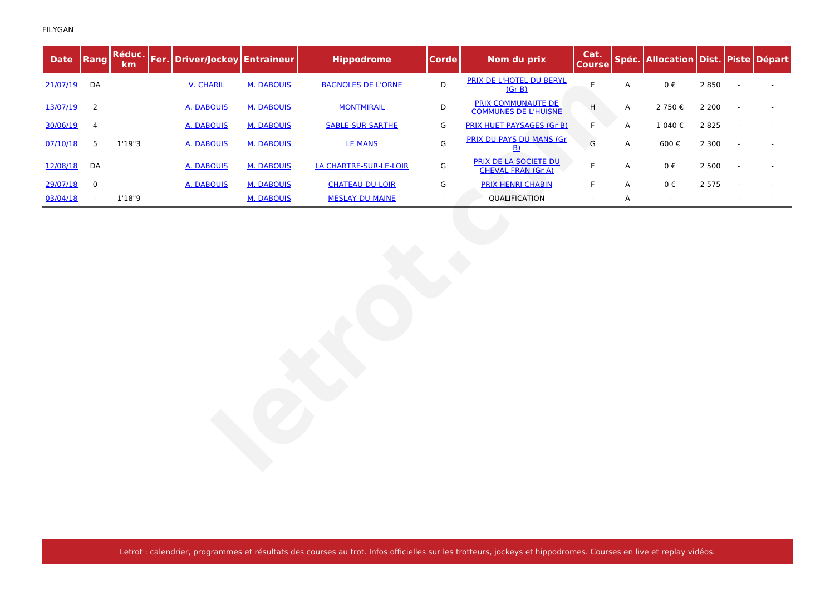| <b>Date</b> | Rang           | Réduc.<br>km | Fer. Driver/Jockey Entraineur |                   | <b>Hippodrome</b>         | <b>Corde</b>             | Nom du prix                                              | Cat.<br><b>Course</b> |             | Spéc. Allocation Dist. Piste Départ |         |                          |  |
|-------------|----------------|--------------|-------------------------------|-------------------|---------------------------|--------------------------|----------------------------------------------------------|-----------------------|-------------|-------------------------------------|---------|--------------------------|--|
| 21/07/19    | DA             |              | <b>V. CHARIL</b>              | <b>M. DABOUIS</b> | <b>BAGNOLES DE L'ORNE</b> | $\mathsf D$              | PRIX DE L'HOTEL DU BERYL<br>(Gr B)                       | $\mathsf F$           | $\mathsf A$ | $0\;\mathbb{E}$                     | 2 8 5 0 |                          |  |
| 13/07/19    | $\overline{2}$ |              | <b>A. DABOUIS</b>             | <b>M. DABOUIS</b> | <b>MONTMIRAIL</b>         | D                        | <b>PRIX COMMUNAUTE DE</b><br><b>COMMUNES DE L'HUISNE</b> | H                     | A           | 2 750€                              | 2 2 0 0 |                          |  |
| 30/06/19    | 4              |              | <b>A. DABOUIS</b>             | <b>M. DABOUIS</b> | <b>SABLE-SUR-SARTHE</b>   | G                        | <b>PRIX HUET PAYSAGES (Gr B)</b>                         | F                     | A           | 1 040€                              | 2 8 2 5 |                          |  |
| 07/10/18    | 5              | 1'19"3       | <b>A. DABOUIS</b>             | <b>M. DABOUIS</b> | <b>LE MANS</b>            | ${\mathsf G}$            | PRIX DU PAYS DU MANS (Gr<br>B)                           | G                     | Α           | 600€                                | 2 3 0 0 | $\overline{\phantom{a}}$ |  |
| 12/08/18    | DA             |              | A. DABOUIS                    | <b>M. DABOUIS</b> | LA CHARTRE-SUR-LE-LOIR    | G                        | PRIX DE LA SOCIETE DU<br><b>CHEVAL FRAN (Gr A)</b>       | F                     | A           | $0 \in$                             | 2 5 0 0 | ÷,                       |  |
| 29/07/18    | $\mathbf 0$    |              | A. DABOUIS                    | <b>M. DABOUIS</b> | <b>CHATEAU-DU-LOIR</b>    | G                        | <b>PRIX HENRI CHABIN</b>                                 | F                     | A           | $0 \in$                             | 2 5 7 5 |                          |  |
| 03/04/18    | $\blacksquare$ | 1'18"9       |                               | <b>M. DABOUIS</b> | <b>MESLAY-DU-MAINE</b>    | $\overline{\phantom{a}}$ | QUALIFICATION                                            | $\blacksquare$        | Α           | $\sim$                              |         |                          |  |
|             |                |              |                               |                   |                           |                          |                                                          |                       |             |                                     |         |                          |  |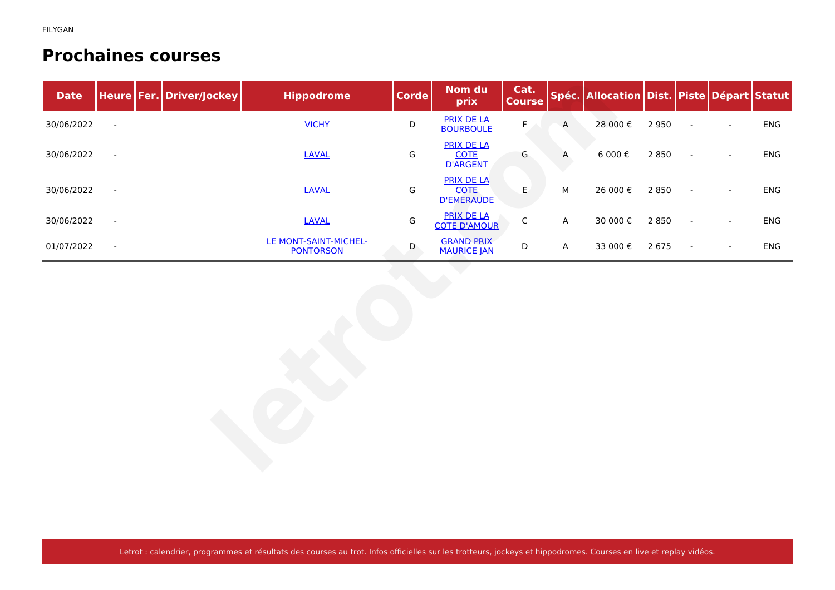#### **Prochaines courses**

| <b>Date</b> |                          | Heure   Fer.   Driver/Jockey | <b>Hippodrome</b>                         | <b>Corde</b>  | Nom du<br>prix                                        | Cat.<br><b>Course</b> |         | Spéc. Allocation Dist. Piste Départ Statut |         |                          |                          |     |
|-------------|--------------------------|------------------------------|-------------------------------------------|---------------|-------------------------------------------------------|-----------------------|---------|--------------------------------------------|---------|--------------------------|--------------------------|-----|
| 30/06/2022  | $\blacksquare$           |                              | <b>VICHY</b>                              | $\mathsf D$   | <b>PRIX DE LA</b><br><b>BOURBOULE</b>                 | $\mathsf F$           | $\sf A$ | 28 000€                                    | 2 9 5 0 | $\sim$                   | $\blacksquare$           | ENG |
| 30/06/2022  | $\overline{\phantom{a}}$ |                              | <b>LAVAL</b>                              | G             | <b>PRIX DE LA</b><br><b>COTE</b><br><b>D'ARGENT</b>   | G                     | A       | 6 000 $\epsilon$                           | 2 8 5 0 | $\blacksquare$           | $\sim$                   | ENG |
| 30/06/2022  | $\blacksquare$           |                              | <b>LAVAL</b>                              | G             | <b>PRIX DE LA</b><br><b>COTE</b><br><b>D'EMERAUDE</b> | E                     | М       | 26 000€                                    | 2 8 5 0 | $\overline{\phantom{a}}$ | $\overline{\phantom{a}}$ | ENG |
| 30/06/2022  | $\blacksquare$           |                              | <b>LAVAL</b>                              | ${\mathsf G}$ | <b>PRIX DE LA</b><br><b>COTE D'AMOUR</b>              | $\mathsf C$           | A       | 30 000 €                                   | 2 8 5 0 | $\overline{\phantom{a}}$ | $\overline{\phantom{a}}$ | ENG |
| 01/07/2022  | $\blacksquare$           |                              | LE MONT-SAINT-MICHEL-<br><b>PONTORSON</b> | $\mathsf{D}$  | <b>GRAND PRIX</b><br><b>MAURICE JAN</b>               | $\mathsf D$           | A       | 33 000€                                    | 2 6 7 5 | $\sim$                   | $\sim$                   | ENG |
|             |                          |                              |                                           |               |                                                       |                       |         |                                            |         |                          |                          |     |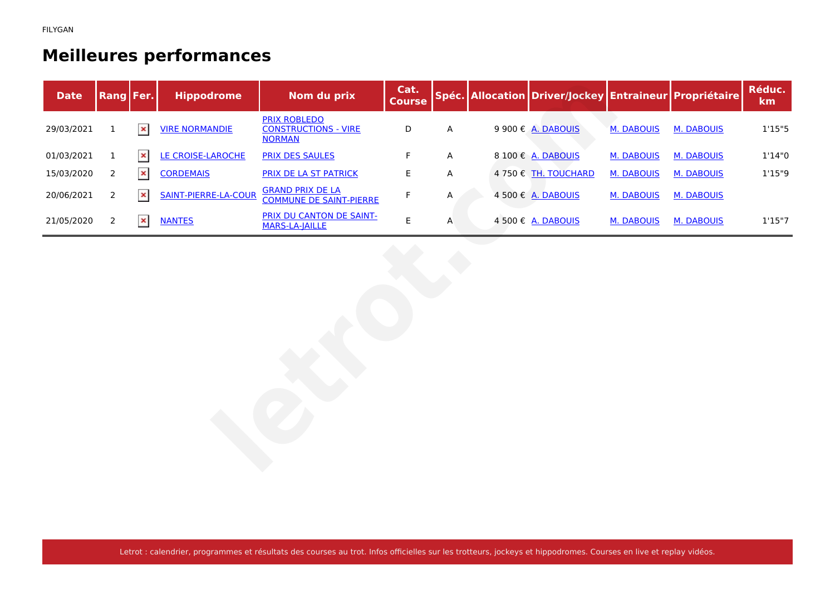## **Meilleures performances**

| <b>Date</b> | Rang Fer.      |                | <b>Hippodrome</b>           | Nom du prix                                                         | Cat.<br>Course |   | Spéc. Allocation Driver/Jockey Entraineur Propriétaire |                   |                   | Réduc.<br>km |
|-------------|----------------|----------------|-----------------------------|---------------------------------------------------------------------|----------------|---|--------------------------------------------------------|-------------------|-------------------|--------------|
| 29/03/2021  | $\mathbf{1}$   | $\pmb{\times}$ | <b>VIRE NORMANDIE</b>       | <b>PRIX ROBLEDO</b><br><b>CONSTRUCTIONS - VIRE</b><br><b>NORMAN</b> | $\mathsf D$    | Α | 9 900 € A. DABOUIS                                     | <b>M. DABOUIS</b> | <b>M. DABOUIS</b> | 1'15"5       |
| 01/03/2021  | $\mathbf{1}$   | $\pmb{\times}$ | LE CROISE-LAROCHE           | <b>PRIX DES SAULES</b>                                              | $\mathsf F$    | Α | 8 100 € A. DABOUIS                                     | M. DABOUIS        | <b>M. DABOUIS</b> | 1'14''0      |
| 15/03/2020  | 2              | $\pmb{\times}$ | <b>CORDEMAIS</b>            | PRIX DE LA ST PATRICK                                               | $\sf E$        | Α | 4 750 € TH. TOUCHARD                                   | <b>M. DABOUIS</b> | M. DABOUIS        | 1'15''9      |
| 20/06/2021  | $\overline{2}$ | $\pmb{\times}$ | <b>SAINT-PIERRE-LA-COUR</b> | <b>GRAND PRIX DE LA</b><br><b>COMMUNE DE SAINT-PIERRE</b>           | $\mathsf F$    | Α | 4 500 € A. DABOUIS                                     | <b>M. DABOUIS</b> | <b>M. DABOUIS</b> |              |
| 21/05/2020  | 2              | $\pmb{\times}$ | <b>NANTES</b>               | PRIX DU CANTON DE SAINT-<br><b>MARS-LA-JAILLE</b>                   | $\mathsf E$    | Α | 4 500 € A. DABOUIS                                     | <b>M. DABOUIS</b> | <b>M. DABOUIS</b> | 1'15''7      |
|             |                |                |                             |                                                                     |                |   |                                                        |                   |                   |              |